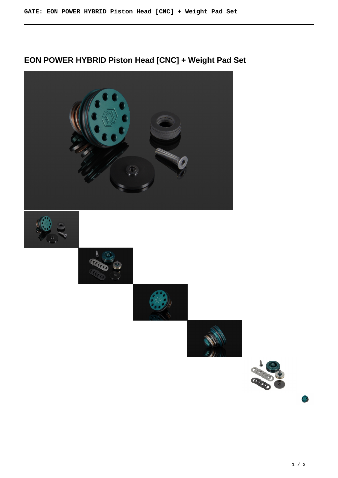# **EON POWER HYBRID Piston Head [CNC] + Weight Pad Set**

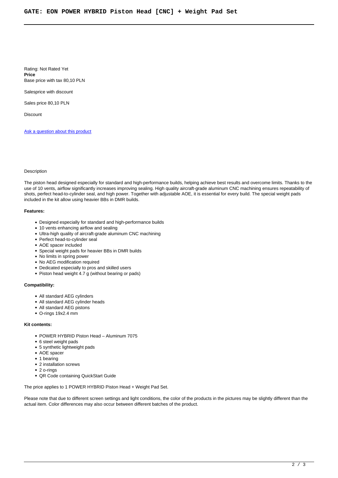Rating: Not Rated Yet **Price**  Base price with tax 80,10 PLN

Salesprice with discount

Sales price 80,10 PLN

**Discount** 

[Ask a question about this product](https://gatee.eu/index.php?option=com_virtuemart&view=productdetails&task=askquestion&virtuemart_product_id=88&virtuemart_category_id=1&tmpl=component)

## Description

The piston head designed especially for standard and high-performance builds, helping achieve best results and overcome limits. Thanks to the use of 10 vents, airflow significantly increases improving sealing. High quality aircraft-grade aluminum CNC machining ensures repeatability of shots, perfect head-to-cylinder seal, and high power. Together with adjustable AOE, it is essential for every build. The special weight pads included in the kit allow using heavier BBs in DMR builds.

#### **Features:**

- Designed especially for standard and high-performance builds
- 10 vents enhancing airflow and sealing
- Ultra-high quality of aircraft-grade aluminum CNC machining
- Perfect head-to-cylinder seal
- AOE spacer included
- Special weight pads for heavier BBs in DMR builds
- No limits in spring power
- No AEG modification required
- Dedicated especially to pros and skilled users
- Piston head weight 4.7 g (without bearing or pads)

## **Compatibility:**

- All standard AEG cylinders
- All standard AEG cylinder heads
- All standard AEG pistons
- O-rings 19x2.4 mm

#### **Kit contents:**

- POWER HYBRID Piston Head Aluminum 7075
- 6 steel weight pads
- 5 synthetic lightweight pads
- AOE spacer
- 1 bearing
- 2 installation screws
- 2 o-rings
- QR Code containing QuickStart Guide

The price applies to 1 POWER HYBRID Piston Head + Weight Pad Set.

Please note that due to different screen settings and light conditions, the color of the products in the pictures may be slightly different than the actual item. Color differences may also occur between different batches of the product.